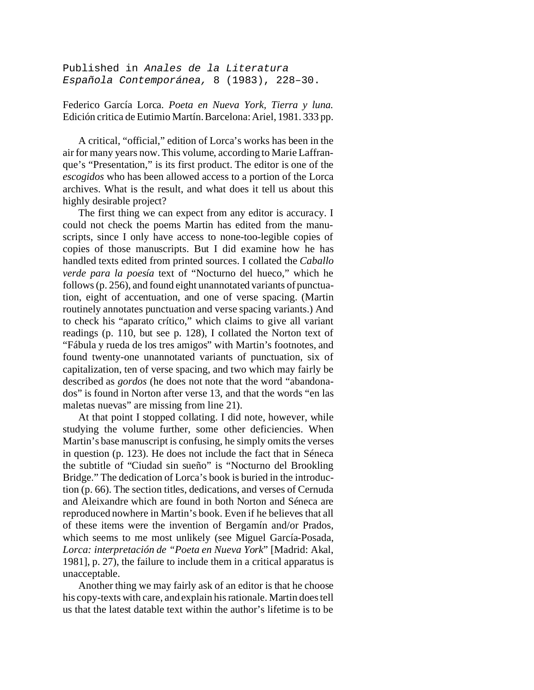Published in *Anales de la Literatura Española Contemporánea,* 8 (1983), 228–30.

Federico García Lorca. *Poeta en Nueva York, Tierra y luna.* Edición critica de Eutimio Martín. Barcelona: Ariel, 1981. 333 pp.

A critical, "official," edition of Lorca's works has been in the air for many years now. This volume, according to Marie Laffranque's "Presentation," is its first product. The editor is one of the *escogidos* who has been allowed access to a portion of the Lorca archives. What is the result, and what does it tell us about this highly desirable project?

The first thing we can expect from any editor is accuracy. I could not check the poems Martin has edited from the manuscripts, since I only have access to none-too-legible copies of copies of those manuscripts. But I did examine how he has handled texts edited from printed sources. I collated the *Caballo verde para la poesía* text of "Nocturno del hueco," which he follows (p. 256), and found eight unannotated variants of punctuation, eight of accentuation, and one of verse spacing. (Martin routinely annotates punctuation and verse spacing variants.) And to check his "aparato crítico," which claims to give all variant readings (p. 110, but see p. 128), I collated the Norton text of "Fábula y rueda de los tres amigos" with Martin's footnotes, and found twenty-one unannotated variants of punctuation, six of capitalization, ten of verse spacing, and two which may fairly be described as *gordos* (he does not note that the word "abandonados" is found in Norton after verse 13, and that the words "en las maletas nuevas" are missing from line 21).

At that point I stopped collating. I did note, however, while studying the volume further, some other deficiencies. When Martin's base manuscript is confusing, he simply omits the verses in question (p. 123). He does not include the fact that in Séneca the subtitle of "Ciudad sin sueño" is "Nocturno del Brookling Bridge." The dedication of Lorca's book is buried in the introduction (p. 66). The section titles, dedications, and verses of Cernuda and Aleixandre which are found in both Norton and Séneca are reproduced nowhere in Martin's book. Even if he believes that all of these items were the invention of Bergamín and/or Prados, which seems to me most unlikely (see Miguel García-Posada, *Lorca: interpretación de "Poeta en Nueva York*" [Madrid: Akal, 1981], p. 27), the failure to include them in a critical apparatus is unacceptable.

Another thing we may fairly ask of an editor is that he choose his copy-texts with care, and explain his rationale. Martin does tell us that the latest datable text within the author's lifetime is to be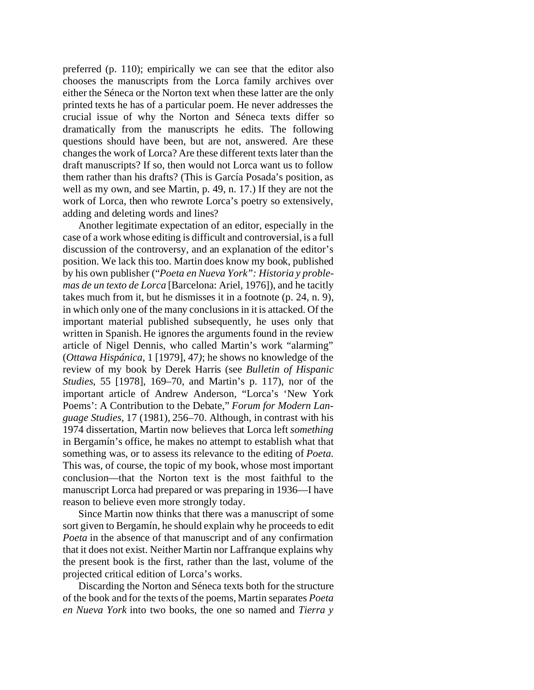preferred (p. 110); empirically we can see that the editor also chooses the manuscripts from the Lorca family archives over either the Séneca or the Norton text when these latter are the only printed texts he has of a particular poem. He never addresses the crucial issue of why the Norton and Séneca texts differ so dramatically from the manuscripts he edits. The following questions should have been, but are not, answered. Are these changes the work of Lorca? Are these different texts later than the draft manuscripts? If so, then would not Lorca want us to follow them rather than his drafts? (This is García Posada's position, as well as my own, and see Martin, p. 49, n. 17.) If they are not the work of Lorca, then who rewrote Lorca's poetry so extensively, adding and deleting words and lines?

Another legitimate expectation of an editor, especially in the case of a work whose editing is difficult and controversial, is a full discussion of the controversy, and an explanation of the editor's position. We lack this too. Martin does know my book, published by his own publisher ("*Poeta en Nueva York": Historia y problemas de un texto de Lorca* [Barcelona: Ariel, 1976]), and he tacitly takes much from it, but he dismisses it in a footnote (p. 24, n. 9), in which only one of the many conclusions in it is attacked. Of the important material published subsequently, he uses only that written in Spanish. He ignores the arguments found in the review article of Nigel Dennis, who called Martin's work "alarming" (*Ottawa Hispánica,* 1 [1979], 47*)*; he shows no knowledge of the review of my book by Derek Harris (see *Bulletin of Hispanic Studies*, 55 [1978], 169–70, and Martin's p. 117), nor of the important article of Andrew Anderson, "Lorca's 'New York Poems': A Contribution to the Debate," *Forum for Modern Language Studies,* 17 (1981), 256–70. Although, in contrast with his 1974 dissertation, Martin now believes that Lorca left *something* in Bergamín's office, he makes no attempt to establish what that something was, or to assess its relevance to the editing of *Poeta*. This was, of course, the topic of my book, whose most important conclusion—that the Norton text is the most faithful to the manuscript Lorca had prepared or was preparing in 1936—I have reason to believe even more strongly today.

Since Martin now thinks that there was a manuscript of some sort given to Bergamín, he should explain why he proceeds to edit *Poeta* in the absence of that manuscript and of any confirmation that it does not exist. Neither Martin nor Laffranque explains why the present book is the first, rather than the last, volume of the projected critical edition of Lorca's works.

Discarding the Norton and Séneca texts both for the structure of the book and for the texts of the poems, Martin separates *Poeta en Nueva York* into two books, the one so named and *Tierra y*